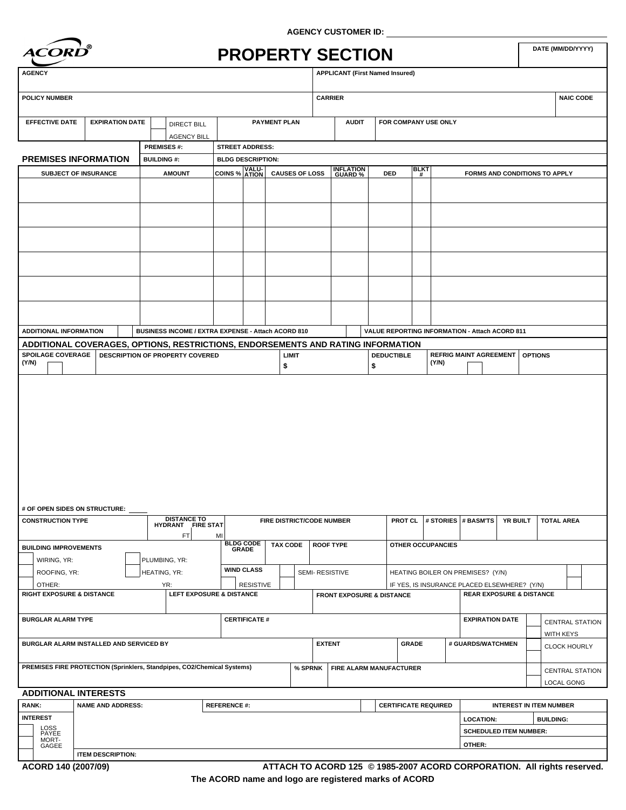

**AGENCY CUSTOMER ID:**

|                                                                                                                                                                                                                         | <i><b>ACORD</b></i>         |                   |                                                    |                          |                      |                                  |         | <b>PROPERTY SECTION</b>                |                         |                |                                                |                               |                                     |          |                                | DATE (MM/DD/YYYY)                |
|-------------------------------------------------------------------------------------------------------------------------------------------------------------------------------------------------------------------------|-----------------------------|-------------------|----------------------------------------------------|--------------------------|----------------------|----------------------------------|---------|----------------------------------------|-------------------------|----------------|------------------------------------------------|-------------------------------|-------------------------------------|----------|--------------------------------|----------------------------------|
| <b>AGENCY</b>                                                                                                                                                                                                           |                             |                   |                                                    |                          |                      |                                  |         | <b>APPLICANT (First Named Insured)</b> |                         |                |                                                |                               |                                     |          |                                |                                  |
| <b>POLICY NUMBER</b>                                                                                                                                                                                                    |                             |                   |                                                    |                          |                      |                                  |         | <b>CARRIER</b>                         |                         |                |                                                |                               |                                     |          |                                | <b>NAIC CODE</b>                 |
| <b>EFFECTIVE DATE</b>                                                                                                                                                                                                   | <b>EXPIRATION DATE</b>      |                   | <b>DIRECT BILL</b>                                 | <b>PAYMENT PLAN</b>      |                      |                                  |         | <b>AUDIT</b>                           |                         |                | FOR COMPANY USE ONLY                           |                               |                                     |          |                                |                                  |
|                                                                                                                                                                                                                         |                             | <b>PREMISES#:</b> | <b>AGENCY BILL</b>                                 | <b>STREET ADDRESS:</b>   |                      |                                  |         |                                        |                         |                |                                                |                               |                                     |          |                                |                                  |
| <b>PREMISES INFORMATION</b>                                                                                                                                                                                             |                             | <b>BUILDING#:</b> |                                                    | <b>BLDG DESCRIPTION:</b> |                      |                                  |         |                                        |                         |                |                                                |                               |                                     |          |                                |                                  |
|                                                                                                                                                                                                                         | <b>SUBJECT OF INSURANCE</b> |                   | <b>AMOUNT</b>                                      | COINS % ATION            |                      | <b>CAUSES OF LOSS</b>            |         | <b>INFLATION</b><br>GUARD %            | DED                     |                | <b>BLKT</b><br>#                               |                               | FORMS AND CONDITIONS TO APPLY       |          |                                |                                  |
|                                                                                                                                                                                                                         |                             |                   |                                                    |                          |                      |                                  |         |                                        |                         |                |                                                |                               |                                     |          |                                |                                  |
|                                                                                                                                                                                                                         |                             |                   |                                                    |                          |                      |                                  |         |                                        |                         |                |                                                |                               |                                     |          |                                |                                  |
|                                                                                                                                                                                                                         |                             |                   |                                                    |                          |                      |                                  |         |                                        |                         |                |                                                |                               |                                     |          |                                |                                  |
|                                                                                                                                                                                                                         |                             |                   |                                                    |                          |                      |                                  |         |                                        |                         |                |                                                |                               |                                     |          |                                |                                  |
| <b>ADDITIONAL INFORMATION</b>                                                                                                                                                                                           |                             |                   | BUSINESS INCOME / EXTRA EXPENSE - Attach ACORD 810 |                          |                      |                                  |         |                                        |                         |                | VALUE REPORTING INFORMATION - Attach ACORD 811 |                               |                                     |          |                                |                                  |
| ADDITIONAL COVERAGES, OPTIONS, RESTRICTIONS, ENDORSEMENTS AND RATING INFORMATION                                                                                                                                        |                             |                   |                                                    |                          |                      |                                  |         |                                        |                         |                |                                                |                               |                                     |          |                                |                                  |
| <b>SPOILAGE COVERAGE</b><br>(Y/N)                                                                                                                                                                                       |                             |                   | DESCRIPTION OF PROPERTY COVERED                    |                          |                      | <b>LIMIT</b><br>\$               |         |                                        | <b>DEDUCTIBLE</b><br>\$ |                | (Y/N)                                          | <b>REFRIG MAINT AGREEMENT</b> |                                     |          | <b>OPTIONS</b>                 |                                  |
|                                                                                                                                                                                                                         |                             |                   |                                                    |                          |                      |                                  |         |                                        |                         |                |                                                |                               |                                     |          |                                |                                  |
|                                                                                                                                                                                                                         |                             |                   |                                                    |                          |                      |                                  |         |                                        |                         |                |                                                |                               |                                     |          |                                |                                  |
|                                                                                                                                                                                                                         |                             |                   |                                                    |                          |                      |                                  |         |                                        |                         |                |                                                |                               |                                     |          |                                |                                  |
| # OF OPEN SIDES ON STRUCTURE: __<br><b>CONSTRUCTION TYPE</b>                                                                                                                                                            |                             |                   |                                                    |                          |                      | <b>FIRE DISTRICT/CODE NUMBER</b> |         |                                        |                         | <b>PROT CL</b> |                                                | # STORIES # BASM'TS           |                                     | YR BUILT | <b>TOTAL AREA</b>              |                                  |
|                                                                                                                                                                                                                         |                             |                   | DISTANCE TO<br>HYDRANT FIRE STAT<br>FT             | MI                       |                      |                                  |         |                                        |                         |                |                                                |                               |                                     |          |                                |                                  |
|                                                                                                                                                                                                                         |                             |                   |                                                    |                          | BLDG CODE<br>GRADE   | <b>TAX CODE</b>                  |         | <b>ROOF TYPE</b>                       |                         |                | <b>OTHER OCCUPANCIES</b>                       |                               |                                     |          |                                |                                  |
| WIRING, YR:                                                                                                                                                                                                             |                             | PLUMBING, YR:     |                                                    |                          |                      |                                  |         |                                        |                         |                |                                                |                               |                                     |          |                                |                                  |
| ROOFING, YR:                                                                                                                                                                                                            |                             | HEATING, YR:      |                                                    |                          | <b>WIND CLASS</b>    |                                  |         | SEMI-RESISTIVE                         |                         |                | HEATING BOILER ON PREMISES? (Y/N)              |                               |                                     |          |                                |                                  |
| OTHER:                                                                                                                                                                                                                  |                             | YR:               |                                                    |                          | <b>RESISTIVE</b>     |                                  |         |                                        |                         |                | IF YES, IS INSURANCE PLACED ELSEWHERE? (Y/N)   |                               |                                     |          |                                |                                  |
|                                                                                                                                                                                                                         |                             |                   | <b>LEFT EXPOSURE &amp; DISTANCE</b>                |                          |                      |                                  |         | <b>FRONT EXPOSURE &amp; DISTANCE</b>   |                         |                |                                                |                               | <b>REAR EXPOSURE &amp; DISTANCE</b> |          |                                |                                  |
|                                                                                                                                                                                                                         |                             |                   |                                                    |                          | <b>CERTIFICATE #</b> |                                  |         |                                        |                         |                |                                                |                               | <b>EXPIRATION DATE</b>              |          |                                | <b>CENTRAL STATION</b>           |
|                                                                                                                                                                                                                         |                             |                   |                                                    |                          |                      |                                  |         | <b>EXTENT</b>                          |                         | <b>GRADE</b>   |                                                | # GUARDS/WATCHMEN             |                                     |          |                                | WITH KEYS<br><b>CLOCK HOURLY</b> |
|                                                                                                                                                                                                                         |                             |                   |                                                    |                          |                      |                                  | % SPRNK | FIRE ALARM MANUFACTURER                |                         |                |                                                |                               |                                     |          |                                | <b>CENTRAL STATION</b>           |
| <b>BUILDING IMPROVEMENTS</b><br><b>RIGHT EXPOSURE &amp; DISTANCE</b><br><b>BURGLAR ALARM TYPE</b><br>BURGLAR ALARM INSTALLED AND SERVICED BY<br>PREMISES FIRE PROTECTION (Sprinklers, Standpipes, CO2/Chemical Systems) |                             |                   |                                                    |                          |                      |                                  |         |                                        |                         |                |                                                |                               |                                     |          |                                | <b>LOCAL GONG</b>                |
| <b>ADDITIONAL INTERESTS</b><br>RANK:                                                                                                                                                                                    | <b>NAME AND ADDRESS:</b>    |                   |                                                    | <b>REFERENCE#:</b>       |                      |                                  |         |                                        |                         |                | <b>CERTIFICATE REQUIRED</b>                    |                               |                                     |          | <b>INTEREST IN ITEM NUMBER</b> |                                  |
| <b>INTEREST</b>                                                                                                                                                                                                         |                             |                   |                                                    |                          |                      |                                  |         |                                        |                         |                |                                                |                               |                                     |          |                                |                                  |
|                                                                                                                                                                                                                         |                             |                   |                                                    |                          |                      |                                  |         |                                        |                         |                |                                                | <b>LOCATION:</b>              |                                     |          | <b>BUILDING:</b>               |                                  |
| LOSS<br>PAYEE<br>MORT-<br>GAGEE                                                                                                                                                                                         |                             |                   |                                                    |                          |                      |                                  |         |                                        |                         |                |                                                | OTHER:                        | <b>SCHEDULED ITEM NUMBER:</b>       |          |                                |                                  |

**The ACORD name and logo are registered marks of ACORD ATTACH TO ACORD 125 © 1985-2007 ACORD CORPORATION. All rights reserved.**